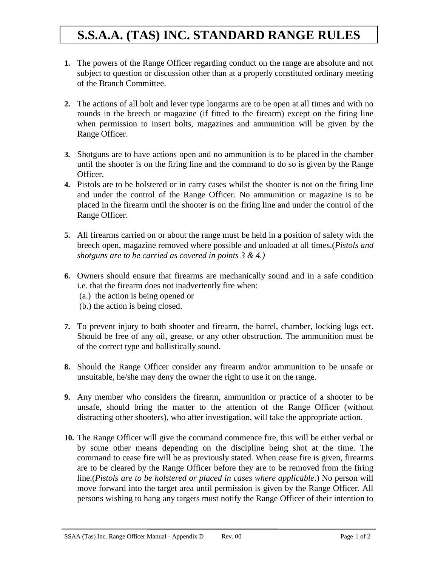## **S.S.A.A. (TAS) INC. STANDARD RANGE RULES**

- **1.** The powers of the Range Officer regarding conduct on the range are absolute and not subject to question or discussion other than at a properly constituted ordinary meeting of the Branch Committee.
- **2.** The actions of all bolt and lever type longarms are to be open at all times and with no rounds in the breech or magazine (if fitted to the firearm) except on the firing line when permission to insert bolts, magazines and ammunition will be given by the Range Officer.
- **3.** Shotguns are to have actions open and no ammunition is to be placed in the chamber until the shooter is on the firing line and the command to do so is given by the Range Officer.
- **4.** Pistols are to be holstered or in carry cases whilst the shooter is not on the firing line and under the control of the Range Officer. No ammunition or magazine is to be placed in the firearm until the shooter is on the firing line and under the control of the Range Officer.
- **5.** All firearms carried on or about the range must be held in a position of safety with the breech open, magazine removed where possible and unloaded at all times.(*Pistols and shotguns are to be carried as covered in points 3 & 4.)*
- **6.** Owners should ensure that firearms are mechanically sound and in a safe condition i.e. that the firearm does not inadvertently fire when:
	- (a.) the action is being opened or
	- (b.) the action is being closed.
- **7.** To prevent injury to both shooter and firearm, the barrel, chamber, locking lugs ect. Should be free of any oil, grease, or any other obstruction. The ammunition must be of the correct type and ballistically sound.
- **8.** Should the Range Officer consider any firearm and/or ammunition to be unsafe or unsuitable, he/she may deny the owner the right to use it on the range.
- **9.** Any member who considers the firearm, ammunition or practice of a shooter to be unsafe, should bring the matter to the attention of the Range Officer (without distracting other shooters), who after investigation, will take the appropriate action.
- **10.** The Range Officer will give the command commence fire, this will be either verbal or by some other means depending on the discipline being shot at the time. The command to cease fire will be as previously stated. When cease fire is given, firearms are to be cleared by the Range Officer before they are to be removed from the firing line.(*Pistols are to be holstered or placed in cases where applicable*.) No person will move forward into the target area until permission is given by the Range Officer. All persons wishing to hang any targets must notify the Range Officer of their intention to